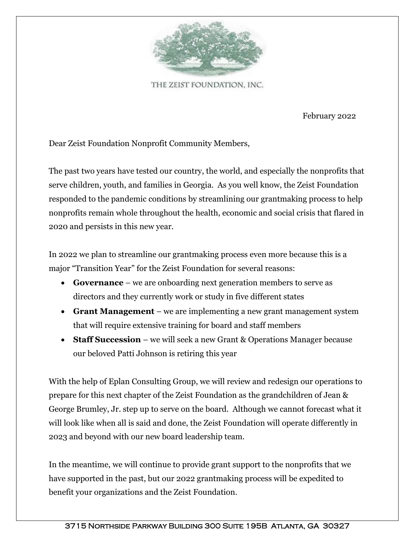

THE ZEIST FOUNDATION, INC.

February 2022

Dear Zeist Foundation Nonprofit Community Members,

The past two years have tested our country, the world, and especially the nonprofits that serve children, youth, and families in Georgia. As you well know, the Zeist Foundation responded to the pandemic conditions by streamlining our grantmaking process to help nonprofits remain whole throughout the health, economic and social crisis that flared in 2020 and persists in this new year.

In 2022 we plan to streamline our grantmaking process even more because this is a major "Transition Year" for the Zeist Foundation for several reasons:

- **Governance** we are onboarding next generation members to serve as directors and they currently work or study in five different states
- **Grant Management** we are implementing a new grant management system that will require extensive training for board and staff members
- **Staff Succession** we will seek a new Grant & Operations Manager because our beloved Patti Johnson is retiring this year

With the help of Eplan Consulting Group, we will review and redesign our operations to prepare for this next chapter of the Zeist Foundation as the grandchildren of Jean & George Brumley, Jr. step up to serve on the board. Although we cannot forecast what it will look like when all is said and done, the Zeist Foundation will operate differently in 2023 and beyond with our new board leadership team.

In the meantime, we will continue to provide grant support to the nonprofits that we have supported in the past, but our 2022 grantmaking process will be expedited to benefit your organizations and the Zeist Foundation.